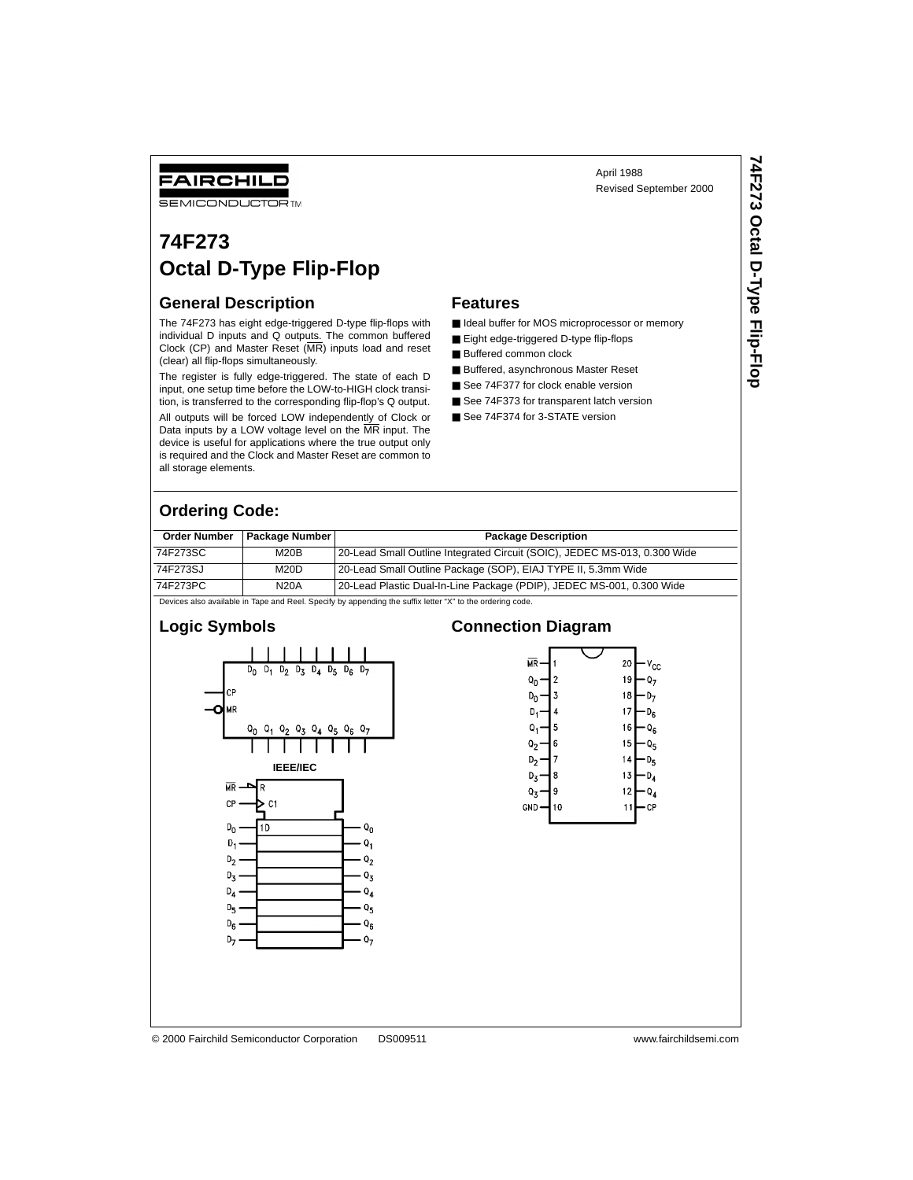# Revised September 2000

**74F273 Octal D-Type Flip-Flop**

74F273 Octal D-Type Flip-Flop

## FAIRCHILD

**SEMICONDUCTOR TM** 

# **74F273 Octal D-Type Flip-Flop**

#### **General Description**

The 74F273 has eight edge-triggered D-type flip-flops with individual D inputs and  $\overline{Q}$  outputs. The common buffered Clock (CP) and Master Reset (MR) inputs load and reset (clear) all flip-flops simultaneously.

The register is fully edge-triggered. The state of each D input, one setup time before the LOW-to-HIGH clock transition, is transferred to the corresponding flip-flop's Q output.

All outputs will be forced LOW independently of Clock or Data inputs by a LOW voltage level on the MR input. The device is useful for applications where the true output only is required and the Clock and Master Reset are common to all storage elements.

#### **Features**

■ Ideal buffer for MOS microprocessor or memory

April 1988

- Eight edge-triggered D-type flip-flops
- Buffered common clock
- Buffered, asynchronous Master Reset
- See 74F377 for clock enable version
- See 74F373 for transparent latch version
- See 74F374 for 3-STATE version

#### **Ordering Code:**

| <b>Order Number</b> | Package Number | <b>Package Description</b>                                                |
|---------------------|----------------|---------------------------------------------------------------------------|
| 74F273SC            | M20B           | 20-Lead Small Outline Integrated Circuit (SOIC), JEDEC MS-013, 0.300 Wide |
| 74F273SJ            | M20D           | 20-Lead Small Outline Package (SOP), EIAJ TYPE II, 5.3mm Wide             |
| 74F273PC            | <b>N20A</b>    | 20-Lead Plastic Dual-In-Line Package (PDIP), JEDEC MS-001, 0.300 Wide     |

Devices also available in Tape and Reel. Specify by appending the suffix letter "X" to the ordering code.

#### **Logic Symbols**



#### **Connection Diagram**



© 2000 Fairchild Semiconductor Corporation DS009511 www.fairchildsemi.com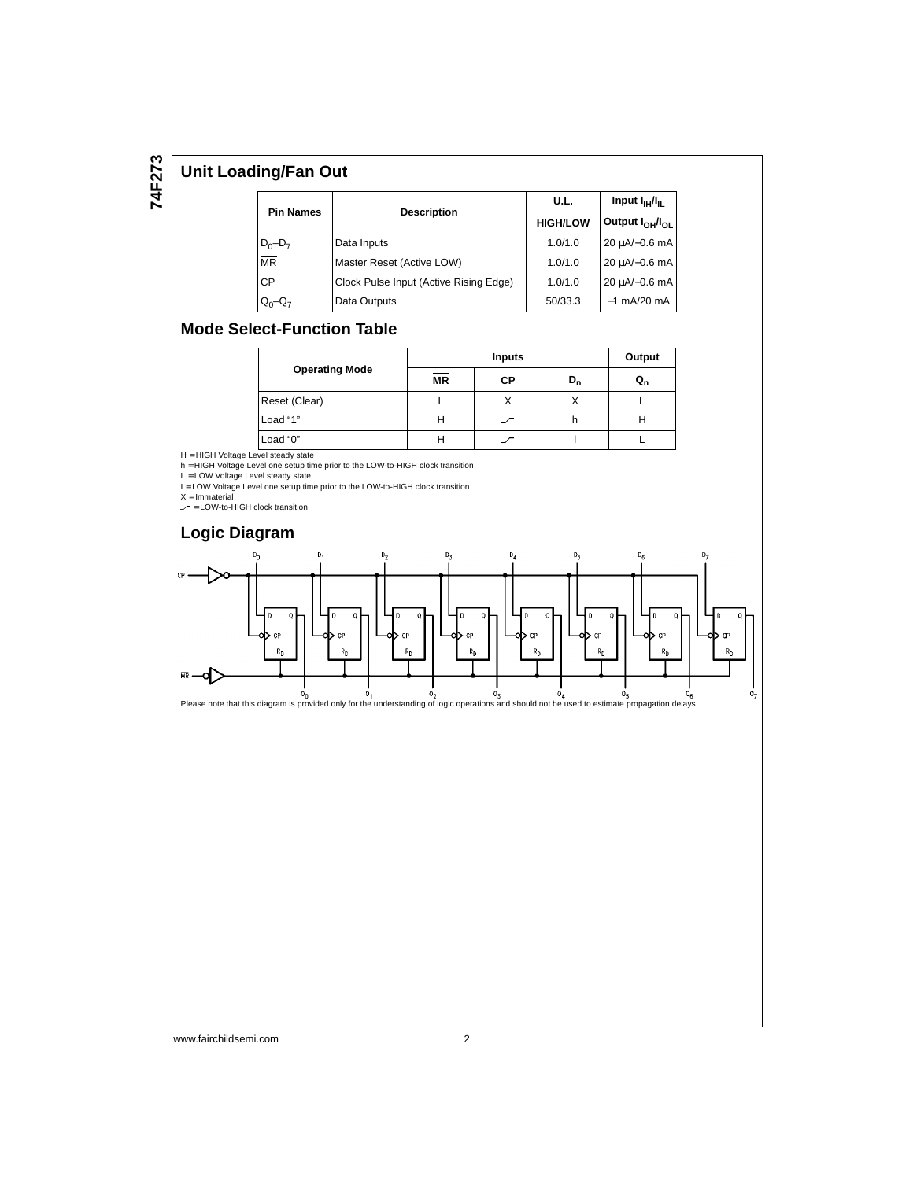#### **Unit Loading/Fan Out**

|                        |                                        | U.L.            | Input $I_{\rm HI}/I_{\rm H}$            |  |
|------------------------|----------------------------------------|-----------------|-----------------------------------------|--|
| <b>Pin Names</b>       | <b>Description</b>                     | <b>HIGH/LOW</b> | Output I <sub>OH</sub> /I <sub>OI</sub> |  |
| $D_0 - D_7$            | Data Inputs                            | 1.0/1.0         | 20 µA/-0.6 mA                           |  |
| $\overline{\text{MR}}$ | Master Reset (Active LOW)              | 1.0/1.0         | 20 uA/-0.6 mA                           |  |
| CP                     | Clock Pulse Input (Active Rising Edge) | 1.0/1.0         | 20 uA/-0.6 mA                           |  |
| $Q_0 - Q_7$            | Data Outputs                           | 50/33.3         | $-1$ mA/20 mA                           |  |

#### **Mode Select-Function Table**

|                       |           | Output |             |                           |
|-----------------------|-----------|--------|-------------|---------------------------|
| <b>Operating Mode</b> | <b>MR</b> | СP     | $D_{\rm n}$ | $\mathtt{u}_{\mathtt{n}}$ |
| Reset (Clear)         |           |        |             |                           |
| Load "1"              | п         |        |             | н                         |
| Load "0"              |           |        |             |                           |

H = HIGH Voltage Level steady state<br>h = HIGH Voltage Level one setup time prior to the LOW-to-HIGH clock transition<br>L = LOW Voltage Level steady state<br>I = LOW Voltage Level one setup time prior to the LOW-to-HIGH clock tr

 $X = Immaterial$ 

 $=$  LOW-to-HIGH clock transition



#### www.fairchildsemi.com 2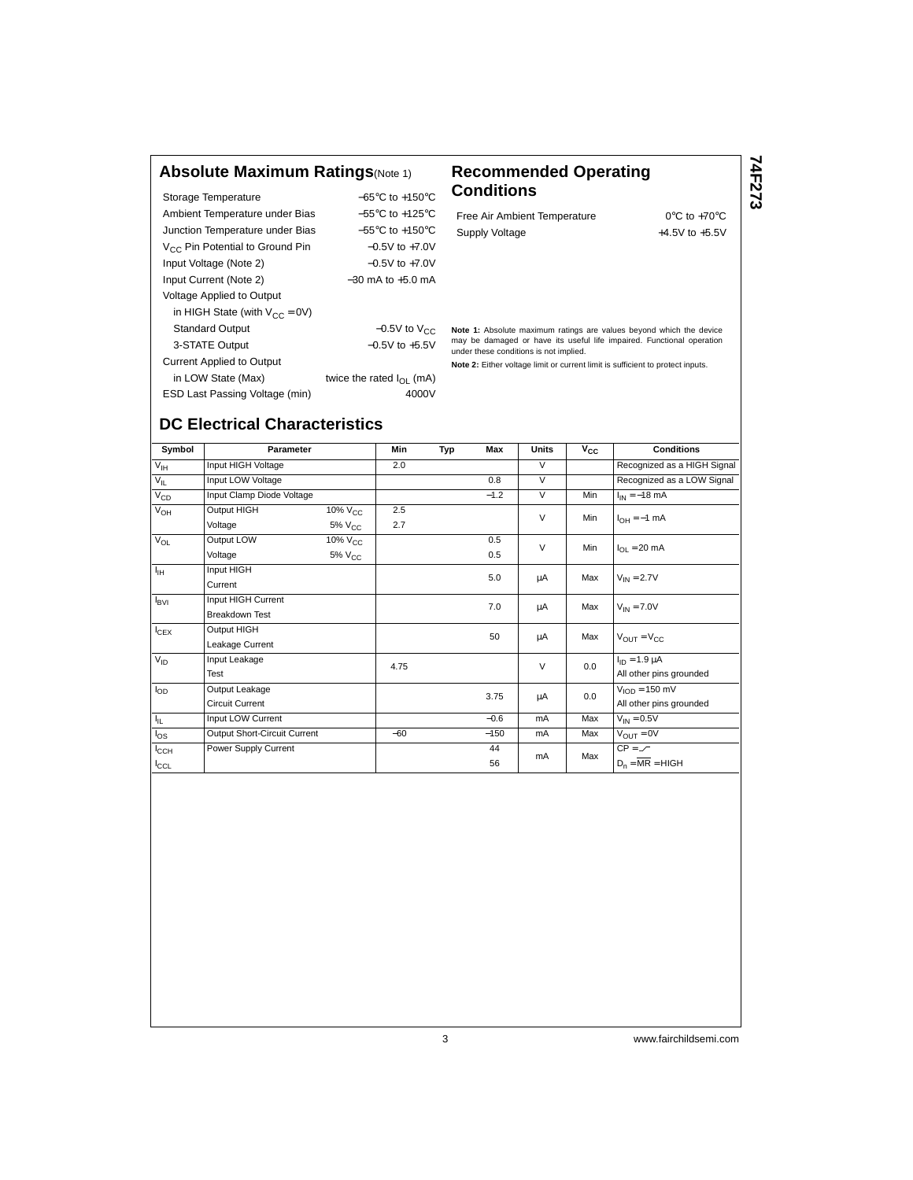#### **Absolute Maximum Ratings**(Note 1) **Recommended Operating**

| Storage Temperature                         | $-65^{\circ}$ C to $+150^{\circ}$ C  |
|---------------------------------------------|--------------------------------------|
| Ambient Temperature under Bias              | $-55^{\circ}$ C to $+125^{\circ}$ C  |
| Junction Temperature under Bias             | $-55^{\circ}$ C to $+150^{\circ}$ C  |
| V <sub>CC</sub> Pin Potential to Ground Pin | $-0.5V$ to $+7.0V$                   |
| Input Voltage (Note 2)                      | $-0.5V$ to $+7.0V$                   |
| Input Current (Note 2)                      | $-30$ mA to $+5.0$ mA                |
| <b>Voltage Applied to Output</b>            |                                      |
| in HIGH State (with $V_{CC} = 0V$ )         |                                      |
| <b>Standard Output</b>                      | $-0.5V$ to $V_{CC}$                  |
| 3-STATE Output                              | $-0.5V$ to $+5.5V$                   |
| <b>Current Applied to Output</b>            |                                      |
| in LOW State (Max)                          | twice the rated $I_{\text{OL}}$ (mA) |
| ESD Last Passing Voltage (min)              | 4000V                                |

# **Conditions**

Free Air Ambient Temperature 0°C to +70°C Supply Voltage  $+4.5V$  to  $+5.5V$  **74F273**

**Note 1:** Absolute maximum ratings are values beyond which the device may be damaged or have its useful life impaired. Functional operation under these conditions is not implied.

**Note 2:** Either voltage limit or current limit is sufficient to protect inputs.

### **DC Electrical Characteristics**

| Symbol           | Parameter                    |                     | Min   | Typ | Max    | <b>Units</b> | $v_{\rm cc}$ | <b>Conditions</b>                |
|------------------|------------------------------|---------------------|-------|-----|--------|--------------|--------------|----------------------------------|
| $V_{\text{IH}}$  | Input HIGH Voltage           |                     | 2.0   |     |        | $\vee$       |              | Recognized as a HIGH Signal      |
| $V_{IL}$         | Input LOW Voltage            |                     |       |     | 0.8    | $\vee$       |              | Recognized as a LOW Signal       |
| $V_{CD}$         | Input Clamp Diode Voltage    |                     |       |     | $-1.2$ | $\vee$       | Min          | $I_{IN} = -18$ mA                |
| $V_{OH}$         | Output HIGH                  | 10% V <sub>CC</sub> | 2.5   |     |        | $\vee$       | Min          | $I_{OH} = -1$ mA                 |
|                  | Voltage                      | $5\%$ $V_{CC}$      | 2.7   |     |        |              |              |                                  |
| $V_{OL}$         | Output LOW                   | 10% V <sub>CC</sub> |       |     | 0.5    | $\vee$       | Min          | $I_{OL}$ = 20 mA                 |
|                  | Voltage                      | 5% V <sub>CC</sub>  |       |     | 0.5    |              |              |                                  |
| ŀн               | Input HIGH                   |                     |       |     | 5.0    | μA           | Max          | $V_{IN} = 2.7V$                  |
|                  | Current                      |                     |       |     |        |              |              |                                  |
| $I_{\text{BVI}}$ | Input HIGH Current           |                     |       |     | 7.0    | μA           | Max          | $V_{IN} = 7.0V$                  |
|                  | <b>Breakdown Test</b>        |                     |       |     |        |              |              |                                  |
| $I_{CEX}$        | Output HIGH                  |                     |       |     | 50     | μA           | Max          | $V_{\text{OUT}} = V_{\text{CC}}$ |
|                  | Leakage Current              |                     |       |     |        |              |              |                                  |
| $V_{ID}$         | Input Leakage                |                     | 4.75  |     |        | $\vee$       | 0.0          | $I_{ID} = 1.9 \mu A$             |
|                  | Test                         |                     |       |     |        |              |              | All other pins grounded          |
| $I_{OD}$         | Output Leakage               |                     |       |     | 3.75   | μA           | 0.0          | $VION = 150 mV$                  |
|                  | Circuit Current              |                     |       |     |        |              |              | All other pins grounded          |
| $I_{\rm IL}$     | Input LOW Current            |                     |       |     | $-0.6$ | mA           | Max          | $V_{IN} = 0.5V$                  |
| $I_{OS}$         | Output Short-Circuit Current |                     | $-60$ |     | $-150$ | mA           | Max          | $V_{\text{OUT}} = 0V$            |
| $I_{\text{CCH}}$ | Power Supply Current         |                     |       |     | 44     | mA           | Max          | $CP = \angle$                    |
| ICCL             |                              |                     |       |     | 56     |              |              | $D_n = \overline{MR} = HIGH$     |

3 www.fairchildsemi.com